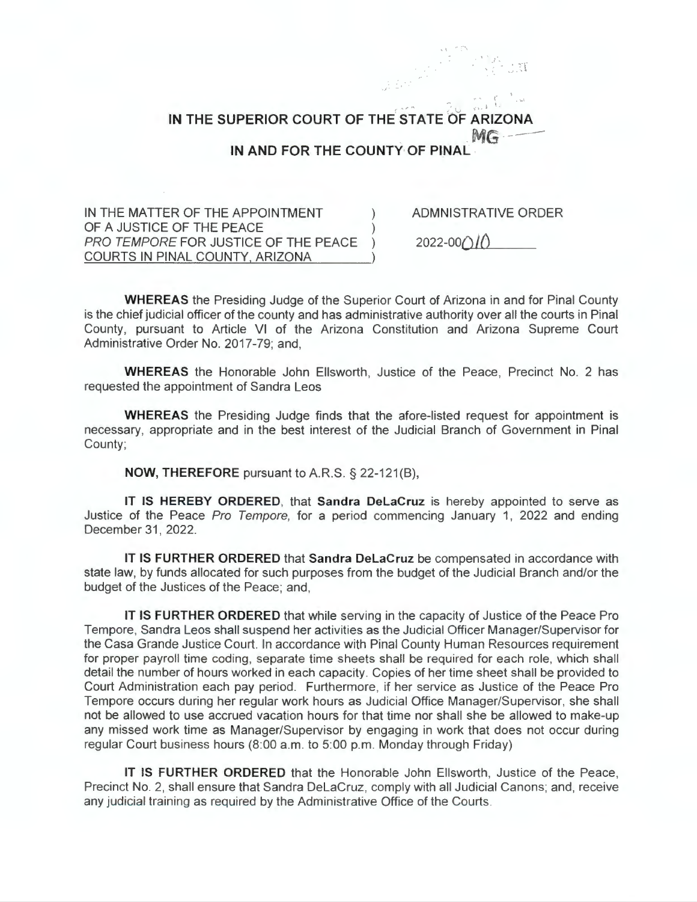**IN THE SUPERIOR COURT OF THE STATE OF ARIZO**  $MG$ **1N AND FOR THE COUNTY OF PINAL** 

IN THE MATTER OF THE APPOINTMENT OF A JUSTICE OF THE PEACE PRO TEMPORE FOR JUSTICE OF THE PEACE ) COURTS IN PINAL COUNTY, ARIZONA

ADMNISTRATIVE ORDER

' . . , <u>.</u> .

 $2022 - 00()$ 

**WHEREAS** the Presiding Judge of the Superior Court of Arizona in and for Pinal County is the chief judicial officer of the county and has administrative authority over all the courts in Pinal County, pursuant to Article VI of the Arizona Constitution and Arizona Supreme Court Administrative Order No. 2017-79; and,

**WHEREAS** the Honorable John Ellsworth, Justice of the Peace, Precinct No. 2 has requested the appointment of Sandra Leos

**WHEREAS** the Presiding Judge finds that the afore-listed request for appointment is necessary, appropriate and in the best interest of the Judicial Branch of Government in Pinal County;

**NOW, THEREFORE** pursuant to A.RS. § 22-121(8),

IT **IS HEREBY ORDERED,** that **Sandra Delacruz** is hereby appointed to serve as Justice of the Peace Pro Tempore, for a period commencing January 1, 2022 and ending December 31, 2022.

IT **IS FURTHER ORDERED** that **Sandra Delacruz** be compensated in accordance with state law, by funds allocated for such purposes from the budget of the Judicial Branch and/or the budget of the Justices of the Peace; and,

**IT IS FURTHER ORDERED** that while serving in the capacity of Justice of the Peace Pro Tempore, Sandra Leos shall suspend her activities as the Judicial Officer Manager/Supervisor for the Casa Grande Justice Court. In accordance with Pinal County Human Resources requirement for proper payroll time coding, separate time sheets shall be required for each role, which shall detail the number of hours worked in each capacity . Copies of her time sheet shall be provided to Court Administration each pay period. Furthermore, if her service as Justice of the Peace Pro Tempore occurs during her regular work hours as Judicial Office Manager/Supervisor, she shall not be allowed to use accrued vacation hours for that time nor shall she be allowed to make-up any missed work time as Manager/Supervisor by engaging in work that does not occur during regular Court business hours (8:00 a.m. to 5:00 p.m. Monday through Friday)

**IT IS FURTHER ORDERED** that the Honorable John Ellsworth, Justice of the Peace, Precinct No. 2, shall ensure that Sandra DeLaCruz, comply with all Judicial Canons; and, receive any judicial training as required by the Administrative Office of the Courts.